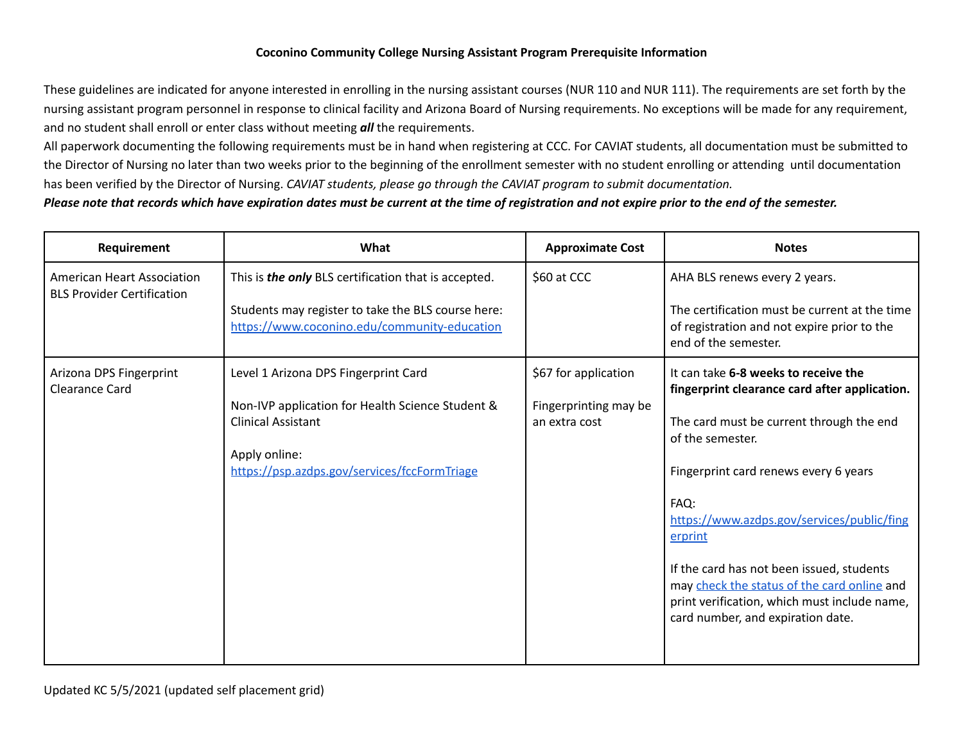## **Coconino Community College Nursing Assistant Program Prerequisite Information**

These guidelines are indicated for anyone interested in enrolling in the nursing assistant courses (NUR 110 and NUR 111). The requirements are set forth by the nursing assistant program personnel in response to clinical facility and Arizona Board of Nursing requirements. No exceptions will be made for any requirement, and no student shall enroll or enter class without meeting *all* the requirements.

All paperwork documenting the following requirements must be in hand when registering at CCC. For CAVIAT students, all documentation must be submitted to the Director of Nursing no later than two weeks prior to the beginning of the enrollment semester with no student enrolling or attending until documentation has been verified by the Director of Nursing. *CAVIAT students, please go through the CAVIAT program to submit documentation.*

## *Please note that records which have expiration dates must be current at the time of registration and not expire prior to the end of the semester.*

| Requirement                                                            | What                                                                                                                      | <b>Approximate Cost</b>                                        | <b>Notes</b>                                                                                                                                                                  |
|------------------------------------------------------------------------|---------------------------------------------------------------------------------------------------------------------------|----------------------------------------------------------------|-------------------------------------------------------------------------------------------------------------------------------------------------------------------------------|
| <b>American Heart Association</b><br><b>BLS Provider Certification</b> | This is the only BLS certification that is accepted.<br>\$60 at CCC<br>Students may register to take the BLS course here: |                                                                | AHA BLS renews every 2 years.<br>The certification must be current at the time                                                                                                |
|                                                                        | https://www.coconino.edu/community-education                                                                              |                                                                | of registration and not expire prior to the<br>end of the semester.                                                                                                           |
| Arizona DPS Fingerprint<br><b>Clearance Card</b>                       | Level 1 Arizona DPS Fingerprint Card<br>Non-IVP application for Health Science Student &<br><b>Clinical Assistant</b>     | \$67 for application<br>Fingerprinting may be<br>an extra cost | It can take 6-8 weeks to receive the<br>fingerprint clearance card after application.<br>The card must be current through the end                                             |
|                                                                        | Apply online:<br>https://psp.azdps.gov/services/fccFormTriage                                                             |                                                                | of the semester.<br>Fingerprint card renews every 6 years                                                                                                                     |
|                                                                        |                                                                                                                           |                                                                | FAQ:<br>https://www.azdps.gov/services/public/fing<br>erprint                                                                                                                 |
|                                                                        |                                                                                                                           |                                                                | If the card has not been issued, students<br>may check the status of the card online and<br>print verification, which must include name,<br>card number, and expiration date. |
|                                                                        |                                                                                                                           |                                                                |                                                                                                                                                                               |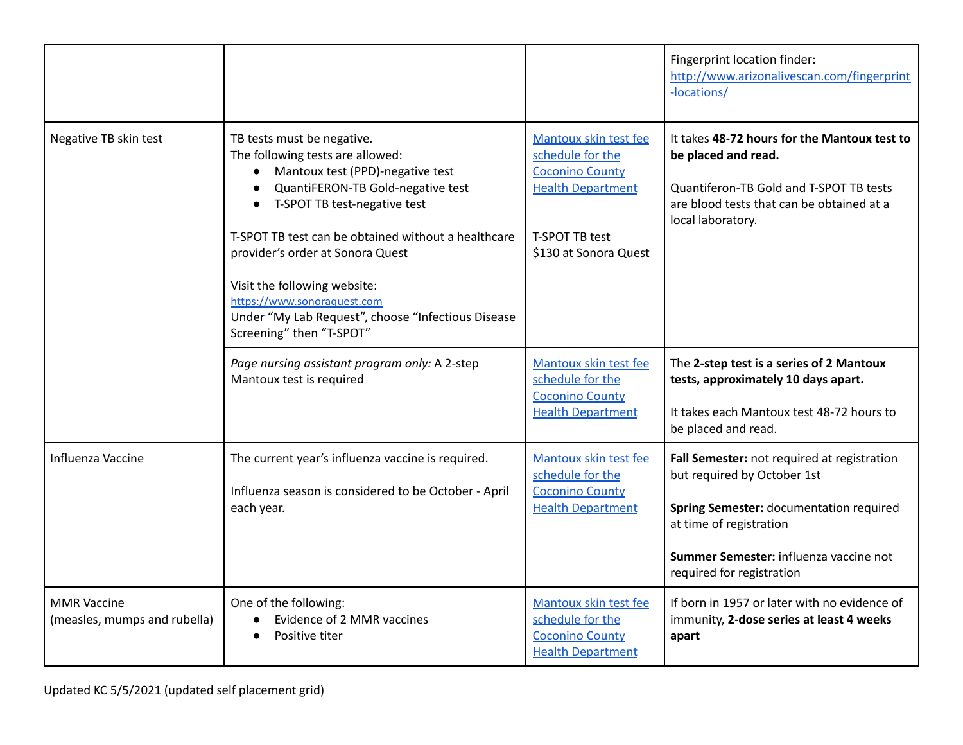|                                                    |                                                                                                                                                                                                                                                                                                                                                                                                                                  |                                                                                                                                                   | Fingerprint location finder:<br>http://www.arizonalivescan.com/fingerprint<br>-locations/                                                                                                                               |
|----------------------------------------------------|----------------------------------------------------------------------------------------------------------------------------------------------------------------------------------------------------------------------------------------------------------------------------------------------------------------------------------------------------------------------------------------------------------------------------------|---------------------------------------------------------------------------------------------------------------------------------------------------|-------------------------------------------------------------------------------------------------------------------------------------------------------------------------------------------------------------------------|
| Negative TB skin test                              | TB tests must be negative.<br>The following tests are allowed:<br>Mantoux test (PPD)-negative test<br>$\bullet$<br>QuantiFERON-TB Gold-negative test<br>T-SPOT TB test-negative test<br>T-SPOT TB test can be obtained without a healthcare<br>provider's order at Sonora Quest<br>Visit the following website:<br>https://www.sonoraquest.com<br>Under "My Lab Request", choose "Infectious Disease<br>Screening" then "T-SPOT" | Mantoux skin test fee<br>schedule for the<br><b>Coconino County</b><br><b>Health Department</b><br><b>T-SPOT TB test</b><br>\$130 at Sonora Quest | It takes 48-72 hours for the Mantoux test to<br>be placed and read.<br>Quantiferon-TB Gold and T-SPOT TB tests<br>are blood tests that can be obtained at a<br>local laboratory.                                        |
|                                                    | Page nursing assistant program only: A 2-step<br>Mantoux test is required                                                                                                                                                                                                                                                                                                                                                        | Mantoux skin test fee<br>schedule for the<br><b>Coconino County</b><br><b>Health Department</b>                                                   | The 2-step test is a series of 2 Mantoux<br>tests, approximately 10 days apart.<br>It takes each Mantoux test 48-72 hours to<br>be placed and read.                                                                     |
| Influenza Vaccine                                  | The current year's influenza vaccine is required.<br>Influenza season is considered to be October - April<br>each year.                                                                                                                                                                                                                                                                                                          | Mantoux skin test fee<br>schedule for the<br><b>Coconino County</b><br><b>Health Department</b>                                                   | Fall Semester: not required at registration<br>but required by October 1st<br>Spring Semester: documentation required<br>at time of registration<br>Summer Semester: influenza vaccine not<br>required for registration |
| <b>MMR Vaccine</b><br>(measles, mumps and rubella) | One of the following:<br>Evidence of 2 MMR vaccines<br>Positive titer                                                                                                                                                                                                                                                                                                                                                            | Mantoux skin test fee<br>schedule for the<br><b>Coconino County</b><br><b>Health Department</b>                                                   | If born in 1957 or later with no evidence of<br>immunity, 2-dose series at least 4 weeks<br>apart                                                                                                                       |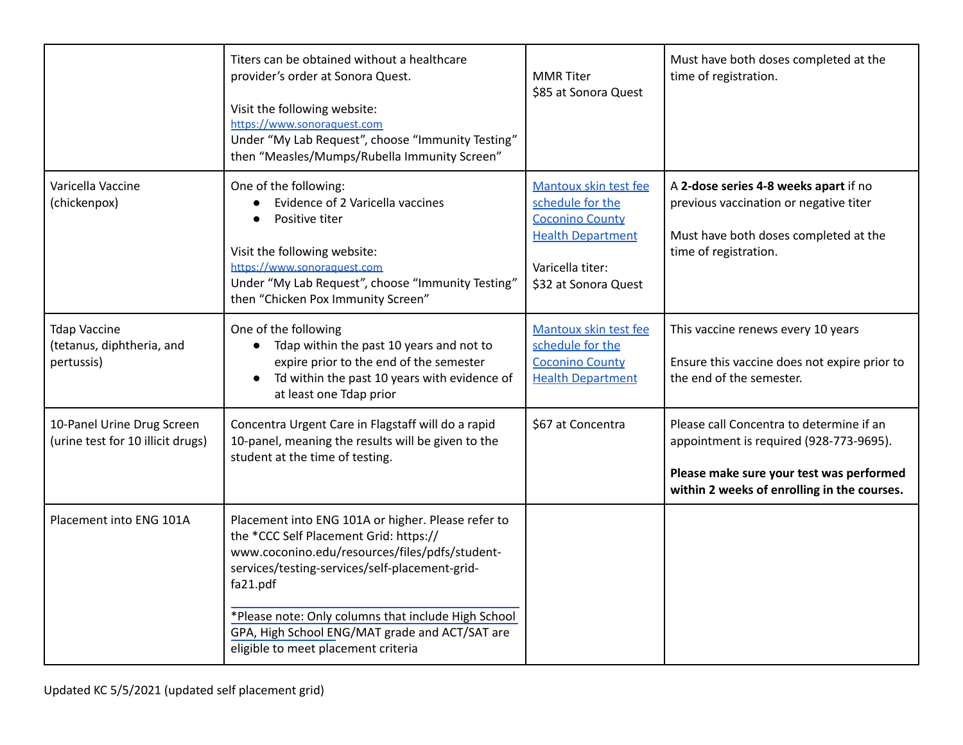|                                                                 | Titers can be obtained without a healthcare<br>provider's order at Sonora Quest.<br>Visit the following website:<br>https://www.sonoraquest.com<br>Under "My Lab Request", choose "Immunity Testing"<br>then "Measles/Mumps/Rubella Immunity Screen"                                                                                                         | <b>MMR</b> Titer<br>\$85 at Sonora Quest                                                                                                    | Must have both doses completed at the<br>time of registration.                                                                                                                 |
|-----------------------------------------------------------------|--------------------------------------------------------------------------------------------------------------------------------------------------------------------------------------------------------------------------------------------------------------------------------------------------------------------------------------------------------------|---------------------------------------------------------------------------------------------------------------------------------------------|--------------------------------------------------------------------------------------------------------------------------------------------------------------------------------|
| Varicella Vaccine<br>(chickenpox)                               | One of the following:<br>Evidence of 2 Varicella vaccines<br>Positive titer<br>Visit the following website:<br>https://www.sonoraquest.com<br>Under "My Lab Request", choose "Immunity Testing"<br>then "Chicken Pox Immunity Screen"                                                                                                                        | Mantoux skin test fee<br>schedule for the<br><b>Coconino County</b><br><b>Health Department</b><br>Varicella titer:<br>\$32 at Sonora Quest | A 2-dose series 4-8 weeks apart if no<br>previous vaccination or negative titer<br>Must have both doses completed at the<br>time of registration.                              |
| <b>Tdap Vaccine</b><br>(tetanus, diphtheria, and<br>pertussis)  | One of the following<br>Tdap within the past 10 years and not to<br>expire prior to the end of the semester<br>Td within the past 10 years with evidence of<br>at least one Tdap prior                                                                                                                                                                       | Mantoux skin test fee<br>schedule for the<br><b>Coconino County</b><br><b>Health Department</b>                                             | This vaccine renews every 10 years<br>Ensure this vaccine does not expire prior to<br>the end of the semester.                                                                 |
| 10-Panel Urine Drug Screen<br>(urine test for 10 illicit drugs) | Concentra Urgent Care in Flagstaff will do a rapid<br>10-panel, meaning the results will be given to the<br>student at the time of testing.                                                                                                                                                                                                                  | \$67 at Concentra                                                                                                                           | Please call Concentra to determine if an<br>appointment is required (928-773-9695).<br>Please make sure your test was performed<br>within 2 weeks of enrolling in the courses. |
| Placement into ENG 101A                                         | Placement into ENG 101A or higher. Please refer to<br>the *CCC Self Placement Grid: https://<br>www.coconino.edu/resources/files/pdfs/student-<br>services/testing-services/self-placement-grid-<br>fa21.pdf<br>*Please note: Only columns that include High School<br>GPA, High School ENG/MAT grade and ACT/SAT are<br>eligible to meet placement criteria |                                                                                                                                             |                                                                                                                                                                                |